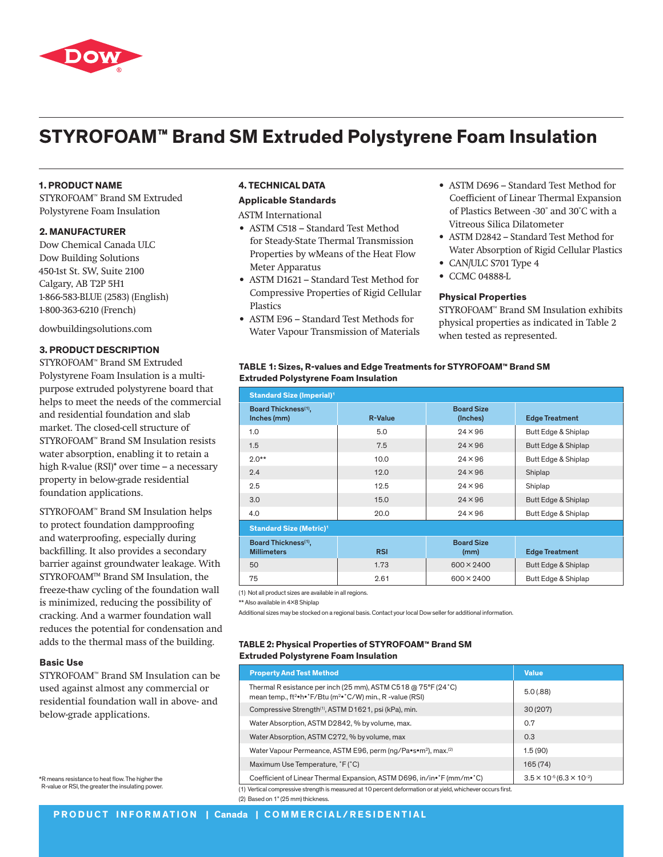

# **STYROFOAM™ Brand SM Extruded Polystyrene Foam Insulation**

# **1. PRODUCT NAME**

STYROFOAM™ Brand SM Extruded Polystyrene Foam Insulation

# **2. MANUFACTURER**

Dow Chemical Canada ULC Dow Building Solutions 450-1st St. SW, Suite 2100 Calgary, AB T2P 5H1 1-866-583-BLUE (2583) (English) 1-800-363-6210 (French)

dowbuildingsolutions.com

#### **3. PRODUCT DESCRIPTION**

STYROFOAM™ Brand SM Extruded Polystyrene Foam Insulation is a multipurpose extruded polystyrene board that helps to meet the needs of the commercial and residential foundation and slab market. The closed-cell structure of STYROFOAM™ Brand SM Insulation resists water absorption, enabling it to retain a high R-value (RSI)\* over time – a necessary property in below-grade residential foundation applications.

STYROFOAM™ Brand SM Insulation helps to protect foundation dampproofing and waterproofing, especially during backfilling. It also provides a secondary barrier against groundwater leakage. With STYROFOAM™ Brand SM Insulation, the freeze-thaw cycling of the foundation wall is minimized, reducing the possibility of cracking. And a warmer foundation wall reduces the potential for condensation and adds to the thermal mass of the building.

#### **Basic Use**

STYROFOAM™ Brand SM Insulation can be used against almost any commercial or residential foundation wall in above- and below-grade applications.

\*R means resistance to heat flow. The higher the R-value or RSI, the greater the insulating power.

#### **4. TECHNICAL DATA**

## **Applicable Standards**

ASTM International

- ASTM C518 Standard Test Method for Steady-State Thermal Transmission Properties by wMeans of the Heat Flow Meter Apparatus
- ASTM D1621 Standard Test Method for Compressive Properties of Rigid Cellular Plastics
- ASTM E96 Standard Test Methods for Water Vapour Transmission of Materials
- ASTM D696 Standard Test Method for Coefficient of Linear Thermal Expansion of Plastics Between -30˚ and 30˚C with a Vitreous Silica Dilatometer
- ASTM D2842 Standard Test Method for Water Absorption of Rigid Cellular Plastics
- CAN/ULC S701 Type 4
- CCMC 04888-L

#### **Physical Properties**

STYROFOAM™ Brand SM Insulation exhibits physical properties as indicated in Table 2 when tested as represented.

| TABLE 1: Sizes, R-values and Edge Treatments for STYROFOAM™ Brand SM |  |
|----------------------------------------------------------------------|--|
| <b>Extruded Polystyrene Foam Insulation</b>                          |  |

| <b>Standard Size (Imperial)<sup>1</sup></b>            |                |                               |                       |  |
|--------------------------------------------------------|----------------|-------------------------------|-----------------------|--|
| Board Thickness(1),<br>Inches (mm)                     | <b>R-Value</b> | <b>Board Size</b><br>(Inches) | <b>Edge Treatment</b> |  |
| 1.0                                                    | 5.0            | $24 \times 96$                | Butt Edge & Shiplap   |  |
| 1.5                                                    | 7.5            | $24 \times 96$                | Butt Edge & Shiplap   |  |
| $2.0**$                                                | 10.0           | $24 \times 96$                | Butt Edge & Shiplap   |  |
| 2.4                                                    | 12.0           | $24 \times 96$                | Shiplap               |  |
| 2.5                                                    | 12.5           | $24 \times 96$                | Shiplap               |  |
| 3.0                                                    | 15.0           | $24 \times 96$                | Butt Edge & Shiplap   |  |
| 4.0                                                    | 20.0           | $24 \times 96$                | Butt Edge & Shiplap   |  |
| <b>Standard Size (Metric)1</b>                         |                |                               |                       |  |
| Board Thickness <sup>(1)</sup> ,<br><b>Millimeters</b> | <b>RSI</b>     | <b>Board Size</b><br>(mm)     | <b>Edge Treatment</b> |  |
| 50                                                     | 1.73           | $600 \times 2400$             | Butt Edge & Shiplap   |  |
| 75                                                     | 2.61           | $600 \times 2400$             | Butt Edge & Shiplap   |  |

(1) Not all product sizes are available in all regions.

\*\* Also available in 4x8 Shiplap

Additional sizes may be stocked on a regional basis. Contact your local Dow seller for additional information.

## **TABLE 2: Physical Properties of STYROFOAM™ Brand SM Extruded Polystyrene Foam Insulation**

|                                                                                                             | <b>Property And Test Method</b>                                                                                                                    | <b>Value</b>                                          |  |
|-------------------------------------------------------------------------------------------------------------|----------------------------------------------------------------------------------------------------------------------------------------------------|-------------------------------------------------------|--|
|                                                                                                             | Thermal R esistance per inch (25 mm), ASTM C518 @ 75°F (24°C)<br>mean temp., ft <sup>2</sup> •h•°F/Btu (m <sup>2</sup> •°C/W) min., R -value (RSI) | 5.0(0.88)                                             |  |
|                                                                                                             | Compressive Strength <sup>(1)</sup> , ASTM D1621, psi (kPa), min.                                                                                  | 30(207)                                               |  |
|                                                                                                             | Water Absorption, ASTM D2842, % by volume, max.                                                                                                    | 0.7                                                   |  |
|                                                                                                             | Water Absorption, ASTM C272, % by volume, max                                                                                                      | 0.3                                                   |  |
|                                                                                                             | Water Vapour Permeance, ASTM E96, perm (ng/Pa•s•m <sup>2</sup> ), max. <sup>(2)</sup>                                                              | 1.5(90)                                               |  |
|                                                                                                             | Maximum Use Temperature, °F (°C)                                                                                                                   | 165 (74)                                              |  |
|                                                                                                             | Coefficient of Linear Thermal Expansion, ASTM D696, in/in•°F (mm/m•°C)                                                                             | $3.5 \times 10^{-5}$ (6.3 $\times$ 10 <sup>-2</sup> ) |  |
| 1) Vertical compressive strength is measured at 10 percent deformation or at vield, whichever occurs first. |                                                                                                                                                    |                                                       |  |

(2) Based on 1" (25 mm) thickness.